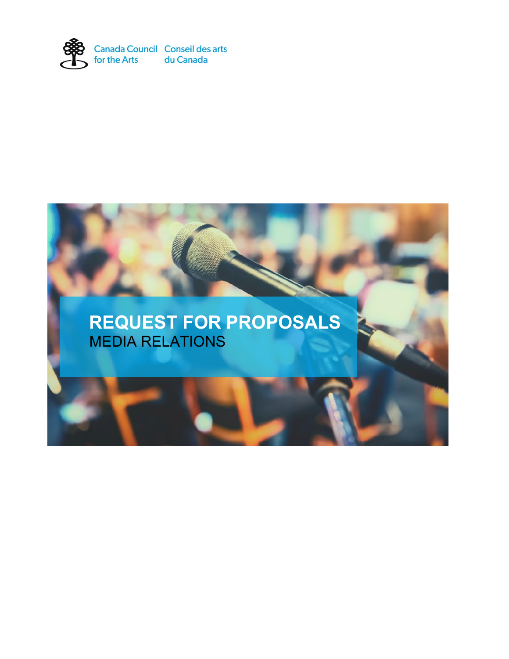

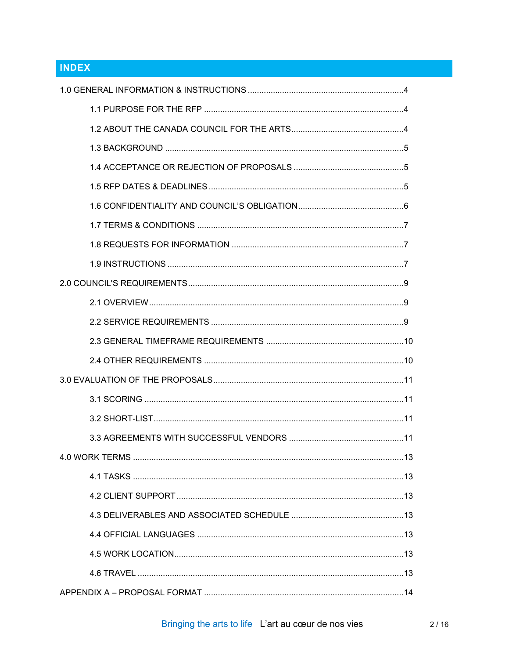# **INDEX**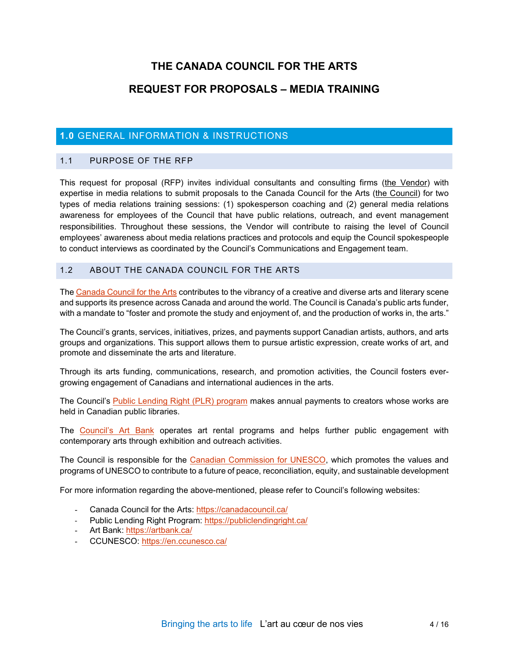## **THE CANADA COUNCIL FOR THE ARTS**

## **REQUEST FOR PROPOSALS – MEDIA TRAINING**

## <span id="page-3-0"></span>**1.0** GENERAL INFORMATION & INSTRUCTIONS

#### <span id="page-3-1"></span>1.1 PURPOSE OF THE RFP

This request for proposal (RFP) invites individual consultants and consulting firms (the Vendor) with expertise in media relations to submit proposals to the Canada Council for the Arts (the Council) for two types of media relations training sessions: (1) spokesperson coaching and (2) general media relations awareness for employees of the Council that have public relations, outreach, and event management responsibilities. Throughout these sessions, the Vendor will contribute to raising the level of Council employees' awareness about media relations practices and protocols and equip the Council spokespeople to conduct interviews as coordinated by the Council's Communications and Engagement team.

#### <span id="page-3-2"></span>1.2 ABOUT THE CANADA COUNCIL FOR THE ARTS

Th[e Canada Council for the Arts](https://canadacouncil.ca/) contributes to the vibrancy of a creative and diverse arts and literary scene and supports its presence across Canada and around the world. The Council is Canada's public arts funder, with a mandate to "foster and promote the study and enjoyment of, and the production of works in, the arts."

The Council's grants, services, initiatives, prizes, and payments support Canadian artists, authors, and arts groups and organizations. This support allows them to pursue artistic expression, create works of art, and promote and disseminate the arts and literature.

Through its arts funding, communications, research, and promotion activities, the Council fosters evergrowing engagement of Canadians and international audiences in the arts.

The Council's [Public Lending Right \(PLR\) program](https://publiclendingright.ca/) makes annual payments to creators whose works are held in Canadian public libraries.

The [Council's Art Bank](https://artbank.ca/) operates art rental programs and helps further public engagement with contemporary arts through exhibition and outreach activities.

The Council is responsible for the [Canadian Commission for UNESCO,](https://en.ccunesco.ca/) which promotes the values and programs of UNESCO to contribute to a future of peace, reconciliation, equity, and sustainable development

For more information regarding the above-mentioned, please refer to Council's following websites:

- Canada Council for the Arts:<https://canadacouncil.ca/>
- Public Lending Right Program: <https://publiclendingright.ca/>
- Art Bank: <https://artbank.ca/>
- <span id="page-3-3"></span>- CCUNESCO: <https://en.ccunesco.ca/>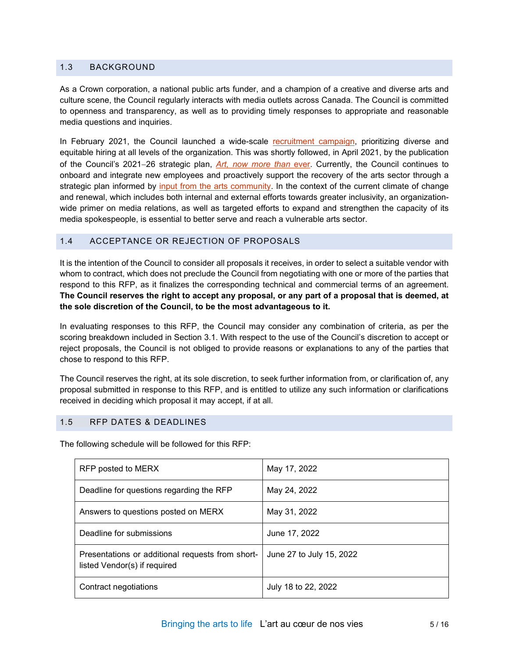#### 1.3 BACKGROUND

As a Crown corporation, a national public arts funder, and a champion of a creative and diverse arts and culture scene, the Council regularly interacts with media outlets across Canada. The Council is committed to openness and transparency, as well as to providing timely responses to appropriate and reasonable media questions and inquiries.

In February 2021, the Council launched a wide-scale [recruitment campaign,](https://canadacouncil.ca/spotlight/2021/02/the-council-needs-your-help-for-its-recruitment-campaign) prioritizing diverse and equitable hiring at all levels of the organization. This was shortly followed, in April 2021, by the publication of the Council's 2021−26 strategic plan, *[Art, now more than](https://canadacouncil.ca/-/media/Files/CCA/Commitments/StrategicPlan/StrategicPlan2021.pdf)* ever. Currently, the Council continues to onboard and integrate new employees and proactively support the recovery of the arts sector through a strategic plan informed by [input from the arts community.](https://canadacouncil.ca/spotlight/2020/07/reimagine-the-arts) In the context of the current climate of change and renewal, which includes both internal and external efforts towards greater inclusivity, an organizationwide primer on media relations, as well as targeted efforts to expand and strengthen the capacity of its media spokespeople, is essential to better serve and reach a vulnerable arts sector.

#### <span id="page-4-0"></span>1.4 ACCEPTANCE OR REJECTION OF PROPOSALS

It is the intention of the Council to consider all proposals it receives, in order to select a suitable vendor with whom to contract, which does not preclude the Council from negotiating with one or more of the parties that respond to this RFP, as it finalizes the corresponding technical and commercial terms of an agreement. **The Council reserves the right to accept any proposal, or any part of a proposal that is deemed, at the sole discretion of the Council, to be the most advantageous to it.**

In evaluating responses to this RFP, the Council may consider any combination of criteria, as per the scoring breakdown included in Section 3.1. With respect to the use of the Council's discretion to accept or reject proposals, the Council is not obliged to provide reasons or explanations to any of the parties that chose to respond to this RFP.

The Council reserves the right, at its sole discretion, to seek further information from, or clarification of, any proposal submitted in response to this RFP, and is entitled to utilize any such information or clarifications received in deciding which proposal it may accept, if at all.

#### <span id="page-4-1"></span>1.5 RFP DATES & DEADLINES

The following schedule will be followed for this RFP:

| RFP posted to MERX                                                               | May 17, 2022             |
|----------------------------------------------------------------------------------|--------------------------|
| Deadline for questions regarding the RFP                                         | May 24, 2022             |
| Answers to questions posted on MERX                                              | May 31, 2022             |
| Deadline for submissions                                                         | June 17, 2022            |
| Presentations or additional requests from short-<br>listed Vendor(s) if required | June 27 to July 15, 2022 |
| Contract negotiations                                                            | July 18 to 22, 2022      |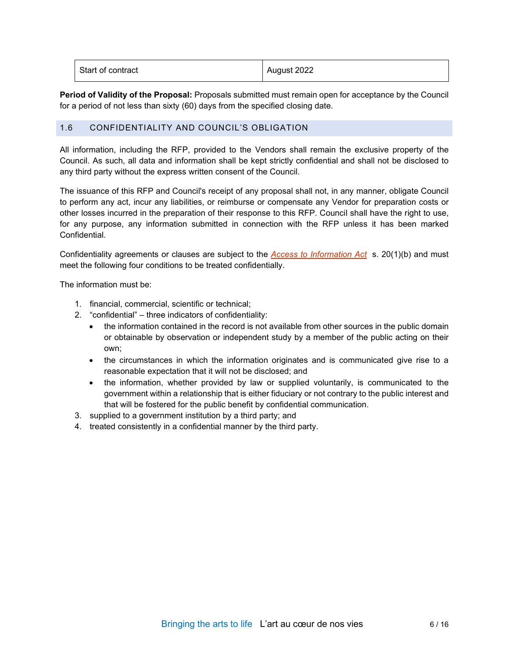| Start of contract | August 2022 |
|-------------------|-------------|
|                   |             |

**Period of Validity of the Proposal:** Proposals submitted must remain open for acceptance by the Council for a period of not less than sixty (60) days from the specified closing date.

#### <span id="page-5-0"></span>1.6 CONFIDENTIALITY AND COUNCIL'S OBLIGATION

All information, including the RFP, provided to the Vendors shall remain the exclusive property of the Council. As such, all data and information shall be kept strictly confidential and shall not be disclosed to any third party without the express written consent of the Council.

The issuance of this RFP and Council's receipt of any proposal shall not, in any manner, obligate Council to perform any act, incur any liabilities, or reimburse or compensate any Vendor for preparation costs or other losses incurred in the preparation of their response to this RFP. Council shall have the right to use, for any purpose, any information submitted in connection with the RFP unless it has been marked Confidential.

Confidentiality agreements or clauses are subject to the *[Access to Information Act](http://laws-lois.justice.gc.ca/eng/acts/A-1/FullText.html)* s. 20(1)(b) and must meet the following four conditions to be treated confidentially.

The information must be:

- 1. financial, commercial, scientific or technical;
- 2. "confidential" three indicators of confidentiality:
	- the information contained in the record is not available from other sources in the public domain or obtainable by observation or independent study by a member of the public acting on their own;
	- the circumstances in which the information originates and is communicated give rise to a reasonable expectation that it will not be disclosed; and
	- the information, whether provided by law or supplied voluntarily, is communicated to the government within a relationship that is either fiduciary or not contrary to the public interest and that will be fostered for the public benefit by confidential communication.
- 3. supplied to a government institution by a third party; and
- <span id="page-5-1"></span>4. treated consistently in a confidential manner by the third party.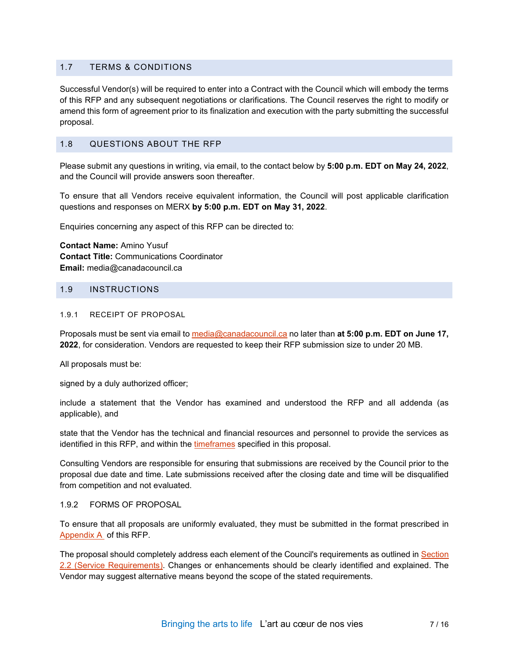#### 1.7 TERMS & CONDITIONS

Successful Vendor(s) will be required to enter into a Contract with the Council which will embody the terms of this RFP and any subsequent negotiations or clarifications. The Council reserves the right to modify or amend this form of agreement prior to its finalization and execution with the party submitting the successful proposal.

#### <span id="page-6-0"></span>1.8 QUESTIONS ABOUT THE RFP

Please submit any questions in writing, via email, to the contact below by **5:00 p.m. EDT on May 24, 2022**, and the Council will provide answers soon thereafter.

To ensure that all Vendors receive equivalent information, the Council will post applicable clarification questions and responses on MERX **by 5:00 p.m. EDT on May 31, 2022**.

Enquiries concerning any aspect of this RFP can be directed to:

**Contact Name:** Amino Yusuf **Contact Title:** Communications Coordinator **Email:** media@canadacouncil.ca

#### <span id="page-6-1"></span>1.9 INSTRUCTIONS

#### 1.9.1 RECEIPT OF PROPOSAL

Proposals must be sent via email to [media@canadacouncil.ca](mailto:media@canadacouncil.ca) no later than **at 5:00 p.m. EDT on June 17, 2022**, for consideration. Vendors are requested to keep their RFP submission size to under 20 MB.

All proposals must be:

signed by a duly authorized officer;

include a statement that the Vendor has examined and understood the RFP and all addenda (as applicable), and

state that the Vendor has the technical and financial resources and personnel to provide the services as identified in this RFP, and within the [timeframes](#page-8-3) specified in this proposal.

Consulting Vendors are responsible for ensuring that submissions are received by the Council prior to the proposal due date and time. Late submissions received after the closing date and time will be disqualified from competition and not evaluated.

#### 1.9.2 FORMS OF PROPOSAL

To ensure that all proposals are uniformly evaluated, they must be submitted in the format prescribed in [Appendix A](#page-13-0) of this RFP.

The proposal should completely address each element of the Council's requirements as outlined in Section [2.2 \(Service Requirements\).](#page-8-2) Changes or enhancements should be clearly identified and explained. The Vendor may suggest alternative means beyond the scope of the stated requirements.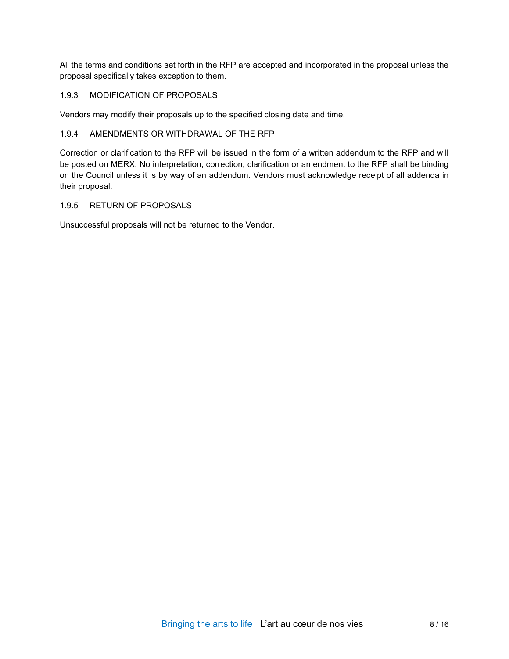All the terms and conditions set forth in the RFP are accepted and incorporated in the proposal unless the proposal specifically takes exception to them.

#### 1.9.3 MODIFICATION OF PROPOSALS

Vendors may modify their proposals up to the specified closing date and time.

#### 1.9.4 AMENDMENTS OR WITHDRAWAL OF THE RFP

Correction or clarification to the RFP will be issued in the form of a written addendum to the RFP and will be posted on MERX. No interpretation, correction, clarification or amendment to the RFP shall be binding on the Council unless it is by way of an addendum. Vendors must acknowledge receipt of all addenda in their proposal.

#### 1.9.5 RETURN OF PROPOSALS

Unsuccessful proposals will not be returned to the Vendor.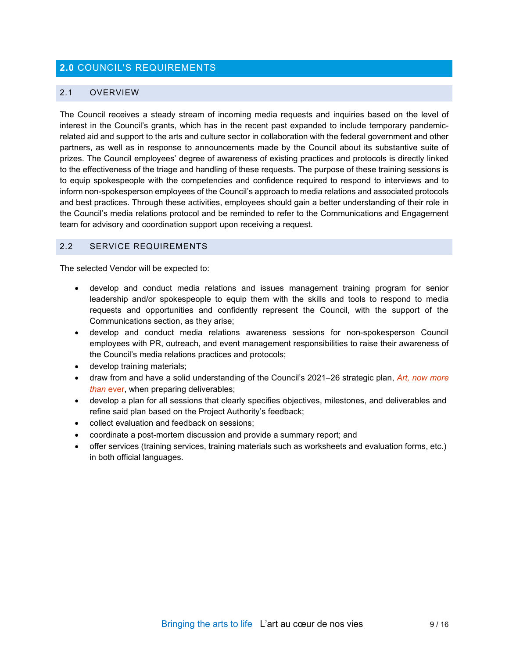## <span id="page-8-0"></span>**2.0** COUNCIL'S REQUIREMENTS

#### <span id="page-8-1"></span>2.1 OVERVIEW

The Council receives a steady stream of incoming media requests and inquiries based on the level of interest in the Council's grants, which has in the recent past expanded to include temporary pandemicrelated aid and support to the arts and culture sector in collaboration with the federal government and other partners, as well as in response to announcements made by the Council about its substantive suite of prizes. The Council employees' degree of awareness of existing practices and protocols is directly linked to the effectiveness of the triage and handling of these requests. The purpose of these training sessions is to equip spokespeople with the competencies and confidence required to respond to interviews and to inform non-spokesperson employees of the Council's approach to media relations and associated protocols and best practices. Through these activities, employees should gain a better understanding of their role in the Council's media relations protocol and be reminded to refer to the Communications and Engagement team for advisory and coordination support upon receiving a request.

#### <span id="page-8-2"></span>2.2 SERVICE REQUIREMENTS

The selected Vendor will be expected to:

- develop and conduct media relations and issues management training program for senior leadership and/or spokespeople to equip them with the skills and tools to respond to media requests and opportunities and confidently represent the Council, with the support of the Communications section, as they arise;
- develop and conduct media relations awareness sessions for non-spokesperson Council employees with PR, outreach, and event management responsibilities to raise their awareness of the Council's media relations practices and protocols;
- develop training materials;
- draw from and have a solid understanding of the Council's 2021−26 strategic plan, *[Art, now more](https://canadacouncil.ca/-/media/Files/CCA/Commitments/StrategicPlan/StrategicPlan2021.pdf)  [than](https://canadacouncil.ca/-/media/Files/CCA/Commitments/StrategicPlan/StrategicPlan2021.pdf) ever, when preparing deliverables;*
- develop a plan for all sessions that clearly specifies objectives, milestones, and deliverables and refine said plan based on the Project Authority's feedback;
- collect evaluation and feedback on sessions;
- coordinate a post-mortem discussion and provide a summary report; and
- <span id="page-8-3"></span>• offer services (training services, training materials such as worksheets and evaluation forms, etc.) in both official languages.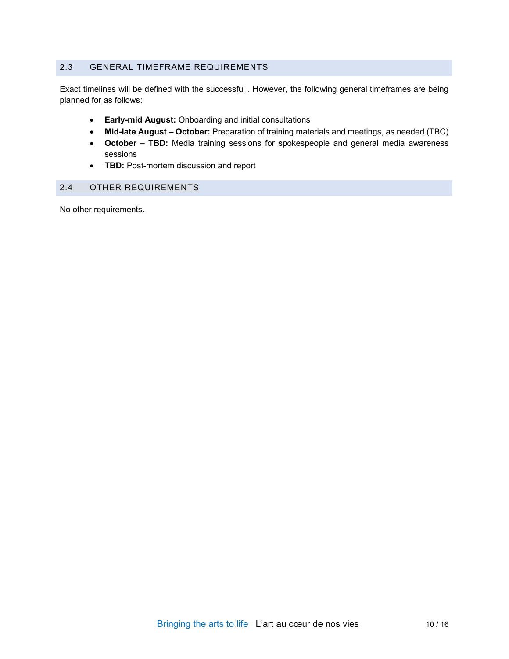#### 2.3 GENERAL TIMEFRAME REQUIREMENTS

Exact timelines will be defined with the successful . However, the following general timeframes are being planned for as follows:

- **Early-mid August:** Onboarding and initial consultations
- **Mid-late August – October:** Preparation of training materials and meetings, as needed (TBC)
- **October – TBD:** Media training sessions for spokespeople and general media awareness sessions
- **TBD:** Post-mortem discussion and report

#### <span id="page-9-0"></span>2.4 OTHER REQUIREMENTS

No other requirements**.**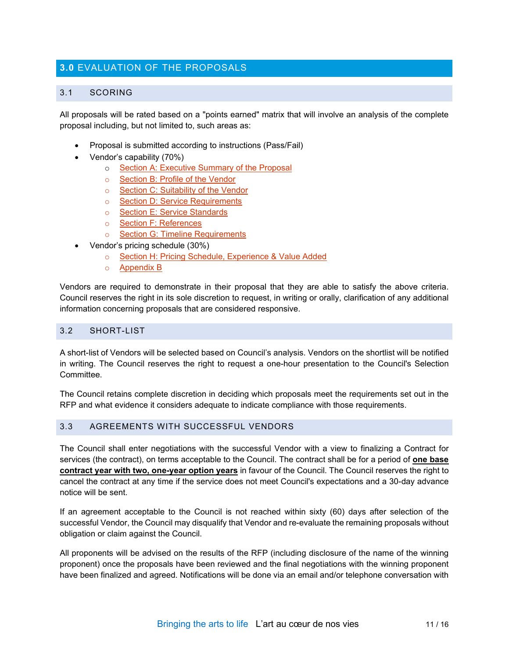## <span id="page-10-0"></span>**3.0** EVALUATION OF THE PROPOSALS

#### <span id="page-10-1"></span>3.1 SCORING

All proposals will be rated based on a "points earned" matrix that will involve an analysis of the complete proposal including, but not limited to, such areas as:

- Proposal is submitted according to instructions (Pass/Fail)
- Vendor's capability (70%)
	- o [Section A: Executive Summary of the Proposal](#page-13-1)
	- o [Section B: Profile of the Vendor](#page-13-2)
	- o [Section C: Suitability of the Vendor](#page-13-3)
	- o [Section D: Service Requirements](#page-13-4)
	- o [Section E: Service Standards](#page-14-0)
	- o [Section F: References](#page-14-1)
	- o [Section G: Timeline Requirements](#page-14-2)
- Vendor's pricing schedule (30%)
	- o [Section H: Pricing Schedule, Experience & Value Added](#page-14-3)
	- o [Appendix B](#page-15-0)

Vendors are required to demonstrate in their proposal that they are able to satisfy the above criteria. Council reserves the right in its sole discretion to request, in writing or orally, clarification of any additional information concerning proposals that are considered responsive.

#### <span id="page-10-2"></span>3.2 SHORT-LIST

A short-list of Vendors will be selected based on Council's analysis. Vendors on the shortlist will be notified in writing. The Council reserves the right to request a one-hour presentation to the Council's Selection Committee.

The Council retains complete discretion in deciding which proposals meet the requirements set out in the RFP and what evidence it considers adequate to indicate compliance with those requirements.

#### <span id="page-10-3"></span>3.3 AGREEMENTS WITH SUCCESSFUL VENDORS

The Council shall enter negotiations with the successful Vendor with a view to finalizing a Contract for services (the contract), on terms acceptable to the Council. The contract shall be for a period of **one base contract year with two, one-year option years** in favour of the Council. The Council reserves the right to cancel the contract at any time if the service does not meet Council's expectations and a 30-day advance notice will be sent.

If an agreement acceptable to the Council is not reached within sixty (60) days after selection of the successful Vendor, the Council may disqualify that Vendor and re-evaluate the remaining proposals without obligation or claim against the Council.

All proponents will be advised on the results of the RFP (including disclosure of the name of the winning proponent) once the proposals have been reviewed and the final negotiations with the winning proponent have been finalized and agreed. Notifications will be done via an email and/or telephone conversation with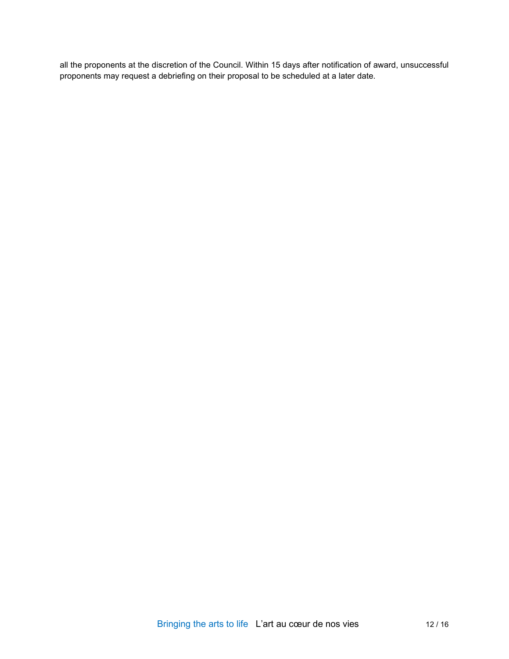all the proponents at the discretion of the Council. Within 15 days after notification of award, unsuccessful proponents may request a debriefing on their proposal to be scheduled at a later date.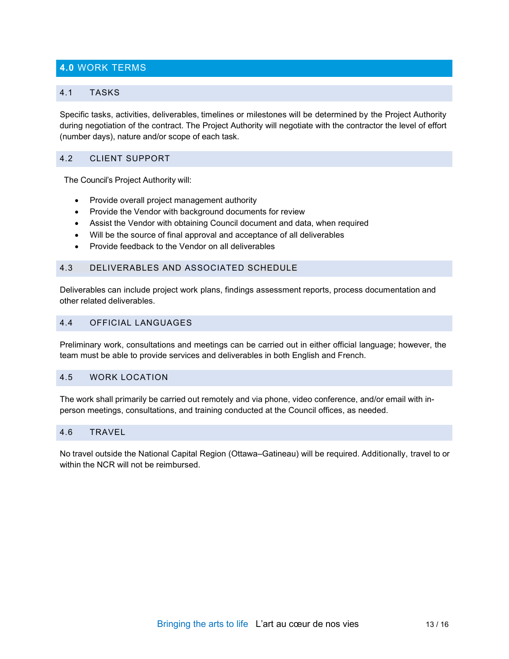## <span id="page-12-0"></span>**4.0** WORK TERMS

#### <span id="page-12-1"></span>4.1 TASKS

Specific tasks, activities, deliverables, timelines or milestones will be determined by the Project Authority during negotiation of the contract. The Project Authority will negotiate with the contractor the level of effort (number days), nature and/or scope of each task.

#### <span id="page-12-2"></span>4.2 CLIENT SUPPORT

The Council's Project Authority will:

- Provide overall project management authority
- Provide the Vendor with background documents for review
- Assist the Vendor with obtaining Council document and data, when required
- Will be the source of final approval and acceptance of all deliverables
- Provide feedback to the Vendor on all deliverables

#### <span id="page-12-3"></span>4.3 DELIVERABLES AND ASSOCIATED SCHEDULE

Deliverables can include project work plans, findings assessment reports, process documentation and other related deliverables.

#### <span id="page-12-4"></span>4.4 OFFICIAL LANGUAGES

Preliminary work, consultations and meetings can be carried out in either official language; however, the team must be able to provide services and deliverables in both English and French.

#### <span id="page-12-5"></span>4.5 WORK LOCATION

The work shall primarily be carried out remotely and via phone, video conference, and/or email with inperson meetings, consultations, and training conducted at the Council offices, as needed.

#### <span id="page-12-6"></span>4.6 TRAVEL

No travel outside the National Capital Region (Ottawa–Gatineau) will be required. Additionally, travel to or within the NCR will not be reimbursed.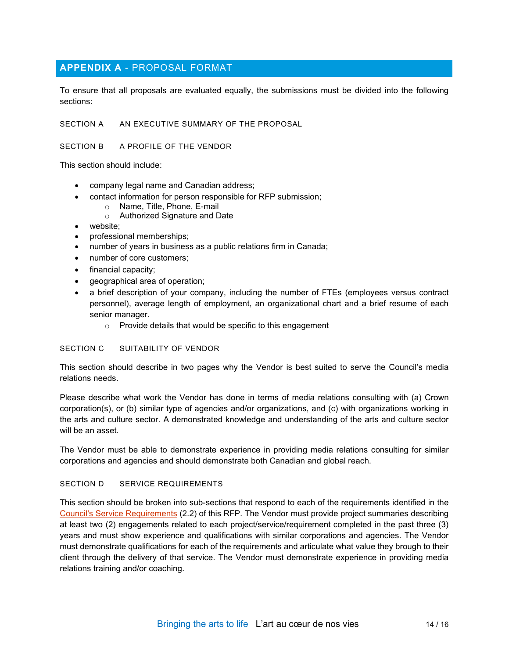## <span id="page-13-0"></span>**APPENDIX A** - PROPOSAL FORMAT

To ensure that all proposals are evaluated equally, the submissions must be divided into the following sections:

<span id="page-13-2"></span><span id="page-13-1"></span>SECTION A AN EXECUTIVE SUMMARY OF THE PROPOSAL

SECTION B A PROFILE OF THE VENDOR

This section should include:

- company legal name and Canadian address;
- contact information for person responsible for RFP submission;
	- o Name, Title, Phone, E-mail
	- o Authorized Signature and Date
- website;
- professional memberships;
- number of years in business as a public relations firm in Canada;
- number of core customers;
- financial capacity;
- geographical area of operation;
- a brief description of your company, including the number of FTEs (employees versus contract personnel), average length of employment, an organizational chart and a brief resume of each senior manager.
	- o Provide details that would be specific to this engagement

#### <span id="page-13-3"></span>SECTION C SUITABILITY OF VENDOR

This section should describe in two pages why the Vendor is best suited to serve the Council's media relations needs.

Please describe what work the Vendor has done in terms of media relations consulting with (a) Crown corporation(s), or (b) similar type of agencies and/or organizations, and (c) with organizations working in the arts and culture sector. A demonstrated knowledge and understanding of the arts and culture sector will be an asset.

The Vendor must be able to demonstrate experience in providing media relations consulting for similar corporations and agencies and should demonstrate both Canadian and global reach.

#### <span id="page-13-4"></span>SECTION D SERVICE REQUIREMENTS

This section should be broken into sub-sections that respond to each of the requirements identified in the [Council's Service Requirements](#page-8-2) (2.2) of this RFP. The Vendor must provide project summaries describing at least two (2) engagements related to each project/service/requirement completed in the past three (3) years and must show experience and qualifications with similar corporations and agencies. The Vendor must demonstrate qualifications for each of the requirements and articulate what value they brough to their client through the delivery of that service. The Vendor must demonstrate experience in providing media relations training and/or coaching.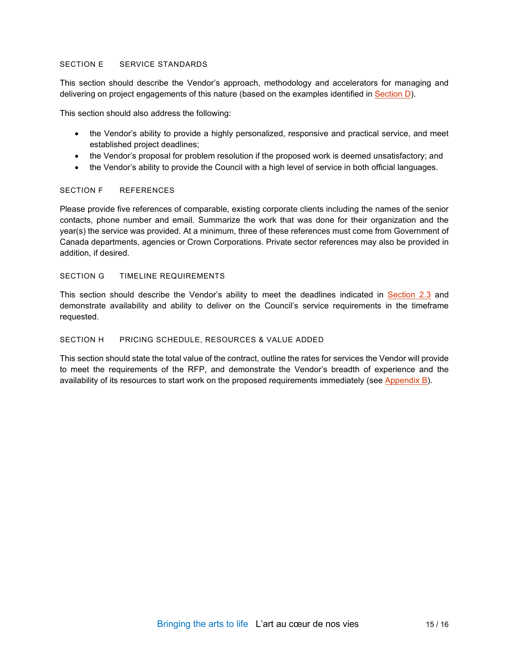#### <span id="page-14-0"></span>SECTION E SERVICE STANDARDS

This section should describe the Vendor's approach, methodology and accelerators for managing and delivering on project engagements of this nature (based on the examples identified in [Section D\)](#page-13-4).

This section should also address the following:

- the Vendor's ability to provide a highly personalized, responsive and practical service, and meet established project deadlines;
- the Vendor's proposal for problem resolution if the proposed work is deemed unsatisfactory; and
- the Vendor's ability to provide the Council with a high level of service in both official languages.

#### <span id="page-14-1"></span>SECTION F REFERENCES

Please provide five references of comparable, existing corporate clients including the names of the senior contacts, phone number and email. Summarize the work that was done for their organization and the year(s) the service was provided. At a minimum, three of these references must come from Government of Canada departments, agencies or Crown Corporations. Private sector references may also be provided in addition, if desired.

#### <span id="page-14-2"></span>SECTION G TIMELINE REQUIREMENTS

This section should describe the Vendor's ability to meet the deadlines indicated in [Section 2.3](#page-8-3) and demonstrate availability and ability to deliver on the Council's service requirements in the timeframe requested.

#### <span id="page-14-3"></span>SECTION H PRICING SCHEDULE, RESOURCES & VALUE ADDED

This section should state the total value of the contract, outline the rates for services the Vendor will provide to meet the requirements of the RFP, and demonstrate the Vendor's breadth of experience and the availability of its resources to start work on the proposed requirements immediately (see [Appendix B\)](#page-15-0).